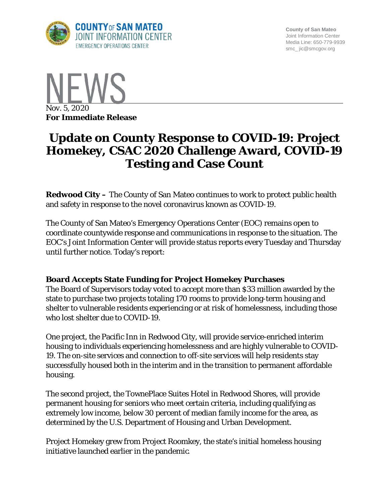

**County of San Mateo** Joint Information Center Media Line: 650-779-9939 smc\_ jic@smcgov.org



# **Update on County Response to COVID-19: Project Homekey, CSAC 2020 Challenge Award, COVID-19 Testing and Case Count**

**Redwood City –** The County of San Mateo continues to work to protect public health and safety in response to the novel coronavirus known as COVID-19.

The County of San Mateo's Emergency Operations Center (EOC) remains open to coordinate countywide response and communications in response to the situation. The EOC's Joint Information Center will provide status reports every Tuesday and Thursday until further notice. Today's report:

#### **Board Accepts State Funding for Project Homekey Purchases**

The Board of Supervisors today voted to accept more than \$33 million awarded by the state to purchase two projects totaling 170 rooms to provide long-term housing and shelter to vulnerable residents experiencing or at risk of homelessness, including those who lost shelter due to COVID-19.

One project, the Pacific Inn in Redwood City, will provide service-enriched interim housing to individuals experiencing homelessness and are highly vulnerable to COVID-19. The on-site services and connection to off-site services will help residents stay successfully housed both in the interim and in the transition to permanent affordable housing.

The second project, the TownePlace Suites Hotel in Redwood Shores, will provide permanent housing for seniors who meet certain criteria, including qualifying as extremely low income, below 30 percent of median family income for the area, as determined by the U.S. Department of Housing and Urban Development.

Project Homekey grew from Project Roomkey, the state's initial homeless housing initiative launched earlier in the pandemic.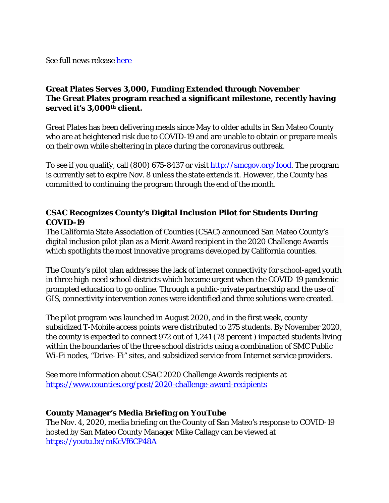See full news release [here](https://cmo.smcgov.org/press-release/oct-29-2020-state-awards-county-33-million-house-homeless)

### **Great Plates Serves 3,000, Funding Extended through November The Great Plates program reached a significant milestone, recently having served it's 3,000th client.**

Great Plates has been delivering meals since May to older adults in San Mateo County who are at heightened risk due to COVID-19 and are unable to obtain or prepare meals on their own while sheltering in place during the coronavirus outbreak.

To see if you qualify, call (800) 675-8437 or visit [http://smcgov.org/food.](http://smcgov.org/food) The program is currently set to expire Nov. 8 unless the state extends it. However, the County has committed to continuing the program through the end of the month.

#### **CSAC Recognizes County's Digital Inclusion Pilot for Students During COVID-19**

The California State Association of Counties (CSAC) announced San Mateo County's digital inclusion pilot plan as a Merit Award recipient in the 2020 Challenge Awards which spotlights the most innovative programs developed by California counties.

The County's pilot plan addresses the lack of internet connectivity for school-aged youth in three high-need school districts which became urgent when the COVID-19 pandemic prompted education to go online. Through a public-private partnership and the use of GIS, connectivity intervention zones were identified and three solutions were created.

The pilot program was launched in August 2020, and in the first week, county subsidized T-Mobile access points were distributed to 275 students. By November 2020, the county is expected to connect 972 out of 1,241 (78 percent ) impacted students living within the boundaries of the three school districts using a combination of SMC Public Wi-Fi nodes, "Drive- Fi" sites, and subsidized service from Internet service providers.

See more information about CSAC 2020 Challenge Awards recipients at <https://www.counties.org/post/2020-challenge-award-recipients>

#### **County Manager's Media Briefing on YouTube**

The Nov. 4, 2020, media briefing on the County of San Mateo's response to COVID-19 hosted by San Mateo County Manager Mike Callagy can be viewed at <https://youtu.be/mKcVf6CP48A>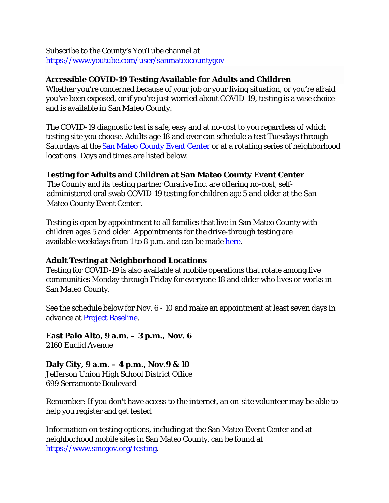Subscribe to the County's YouTube channel at <https://www.youtube.com/user/sanmateocountygov>

#### **Accessible COVID-19 Testing Available for Adults and Children**

Whether you're concerned because of your job or your living situation, or you're afraid you've been exposed, or if you're just worried about COVID-19, testing is a wise choice and is available in San Mateo County.

The COVID-19 diagnostic test is safe, easy and at no-cost to you regardless of which testing site you choose. Adults age 18 and over can schedule a test Tuesdays through Saturdays at the **San Mateo County Event Center** or at a rotating series of neighborhood locations. Days and times are listed below.

### **Testing for Adults and Children at San Mateo County Event Center**

The County and its testing partner Curative Inc. are offering no-cost, selfadministered oral swab COVID-19 testing for children age 5 and older at the San Mateo County Event Center.

Testing is open by appointment to all families that live in San Mateo County with children ages 5 and older. Appointments for the drive-through testing are available weekdays from 1 to 8 p.m. and can be made [here.](https://www.smcgov.org/covid-19-testing-options-children)

## **Adult Testing at Neighborhood Locations**

Testing for COVID-19 is also available at mobile operations that rotate among five communities Monday through Friday for everyone 18 and older who lives or works in San Mateo County.

See the schedule below for Nov. 6 - 10 and make an appointment at least seven days in advance at [Project Baseline.](https://bit.ly/2xk73OL)

**East Palo Alto, 9 a.m. – 3 p.m., Nov. 6** 2160 Euclid Avenue

**Daly City, 9 a.m. – 4 p.m., Nov.9 & 10** Jefferson Union High School District Office 699 Serramonte Boulevard

Remember: If you don't have access to the internet, an on-site volunteer may be able to help you register and get tested.

Information on testing options, including at the San Mateo Event Center and at neighborhood mobile sites in San Mateo County, can be found at https:/[/www.smcgov.org/testing.](http://www.smcgov.org/testing)